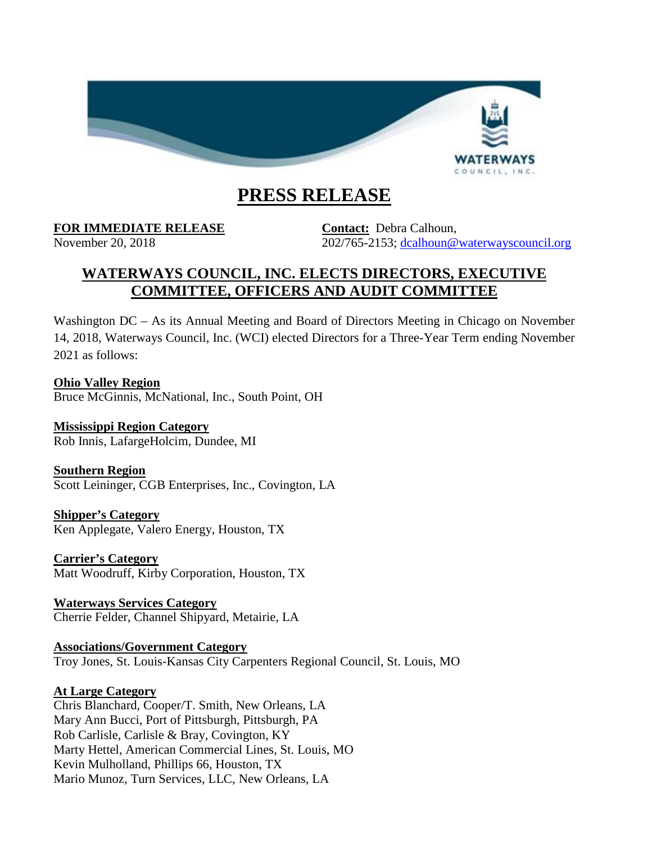

# **PRESS RELEASE**

**FOR IMMEDIATE RELEASE Contact:** Debra Calhoun,

November 20, 2018 202/765-2153; [dcalhoun@waterwayscouncil.org](mailto:dcalhoun@waterwayscouncil.org)

# **WATERWAYS COUNCIL, INC. ELECTS DIRECTORS, EXECUTIVE COMMITTEE, OFFICERS AND AUDIT COMMITTEE**

Washington  $DC - As$  its Annual Meeting and Board of Directors Meeting in Chicago on November 14, 2018, Waterways Council, Inc. (WCI) elected Directors for a Three-Year Term ending November 2021 as follows:

**Ohio Valley Region** Bruce McGinnis, McNational, Inc., South Point, OH

**Mississippi Region Category** Rob Innis, LafargeHolcim, Dundee, MI

**Southern Region** Scott Leininger, CGB Enterprises, Inc., Covington, LA

**Shipper's Category** Ken Applegate, Valero Energy, Houston, TX

**Carrier's Category** Matt Woodruff, Kirby Corporation, Houston, TX

**Waterways Services Category** Cherrie Felder, Channel Shipyard, Metairie, LA

**Associations/Government Category** Troy Jones, St. Louis-Kansas City Carpenters Regional Council, St. Louis, MO

## **At Large Category**

Chris Blanchard, Cooper/T. Smith, New Orleans, LA Mary Ann Bucci, Port of Pittsburgh, Pittsburgh, PA Rob Carlisle, Carlisle & Bray, Covington, KY Marty Hettel, American Commercial Lines, St. Louis, MO Kevin Mulholland, Phillips 66, Houston, TX Mario Munoz, Turn Services, LLC, New Orleans, LA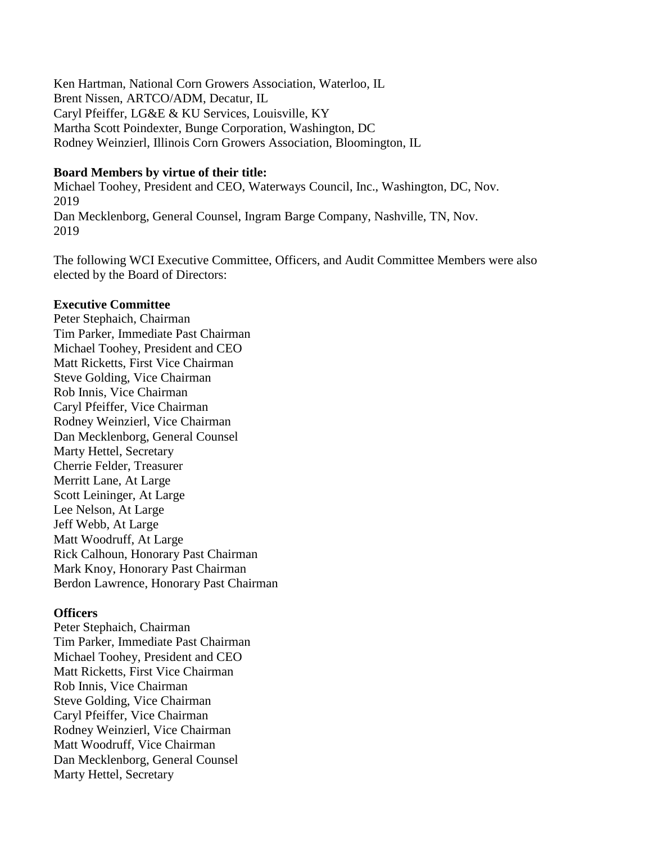Ken Hartman, National Corn Growers Association, Waterloo, IL Brent Nissen, ARTCO/ADM, Decatur, IL Caryl Pfeiffer, LG&E & KU Services, Louisville, KY Martha Scott Poindexter, Bunge Corporation, Washington, DC Rodney Weinzierl, Illinois Corn Growers Association, Bloomington, IL

#### **Board Members by virtue of their title:**

Michael Toohey, President and CEO, Waterways Council, Inc., Washington, DC, Nov. 2019 Dan Mecklenborg, General Counsel, Ingram Barge Company, Nashville, TN, Nov. 2019

The following WCI Executive Committee, Officers, and Audit Committee Members were also elected by the Board of Directors:

#### **Executive Committee**

Peter Stephaich, Chairman Tim Parker, Immediate Past Chairman Michael Toohey, President and CEO Matt Ricketts, First Vice Chairman Steve Golding, Vice Chairman Rob Innis, Vice Chairman Caryl Pfeiffer, Vice Chairman Rodney Weinzierl, Vice Chairman Dan Mecklenborg, General Counsel Marty Hettel, Secretary Cherrie Felder, Treasurer Merritt Lane, At Large Scott Leininger, At Large Lee Nelson, At Large Jeff Webb, At Large Matt Woodruff, At Large Rick Calhoun, Honorary Past Chairman Mark Knoy, Honorary Past Chairman Berdon Lawrence, Honorary Past Chairman

#### **Officers**

Peter Stephaich, Chairman Tim Parker, Immediate Past Chairman Michael Toohey, President and CEO Matt Ricketts, First Vice Chairman Rob Innis, Vice Chairman Steve Golding, Vice Chairman Caryl Pfeiffer, Vice Chairman Rodney Weinzierl, Vice Chairman Matt Woodruff, Vice Chairman Dan Mecklenborg, General Counsel Marty Hettel, Secretary